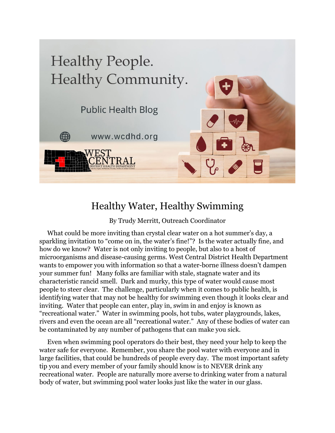

## Healthy Water, Healthy Swimming

By Trudy Merritt, Outreach Coordinator

 What could be more inviting than crystal clear water on a hot summer's day, a sparkling invitation to "come on in, the water's fine!"? Is the water actually fine, and how do we know? Water is not only inviting to people, but also to a host of microorganisms and disease-causing germs. West Central District Health Department wants to empower you with information so that a water-borne illness doesn't dampen your summer fun! Many folks are familiar with stale, stagnate water and its characteristic rancid smell. Dark and murky, this type of water would cause most people to steer clear. The challenge, particularly when it comes to public health, is identifying water that may not be healthy for swimming even though it looks clear and inviting. Water that people can enter, play in, swim in and enjoy is known as "recreational water." Water in swimming pools, hot tubs, water playgrounds, lakes, rivers and even the ocean are all "recreational water." Any of these bodies of water can be contaminated by any number of pathogens that can make you sick.

 Even when swimming pool operators do their best, they need your help to keep the water safe for everyone. Remember, you share the pool water with everyone and in large facilities, that could be hundreds of people every day. The most important safety tip you and every member of your family should know is to NEVER drink any recreational water. People are naturally more averse to drinking water from a natural body of water, but swimming pool water looks just like the water in our glass.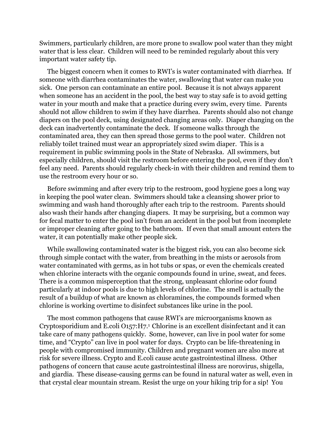Swimmers, particularly children, are more prone to swallow pool water than they might water that is less clear. Children will need to be reminded regularly about this very important water safety tip.

 The biggest concern when it comes to RWI's is water contaminated with diarrhea. If someone with diarrhea contaminates the water, swallowing that water can make you sick. One person can contaminate an entire pool. Because it is not always apparent when someone has an accident in the pool, the best way to stay safe is to avoid getting water in your mouth and make that a practice during every swim, every time. Parents should not allow children to swim if they have diarrhea. Parents should also not change diapers on the pool deck, using designated changing areas only. Diaper changing on the deck can inadvertently contaminate the deck. If someone walks through the contaminated area, they can then spread those germs to the pool water. Children not reliably toilet trained must wear an appropriately sized swim diaper. This is a requirement in public swimming pools in the State of Nebraska. All swimmers, but especially children, should visit the restroom before entering the pool, even if they don't feel any need. Parents should regularly check-in with their children and remind them to use the restroom every hour or so.

 Before swimming and after every trip to the restroom, good hygiene goes a long way in keeping the pool water clean. Swimmers should take a cleansing shower prior to swimming and wash hand thoroughly after each trip to the restroom. Parents should also wash their hands after changing diapers. It may be surprising, but a common way for fecal matter to enter the pool isn't from an accident in the pool but from incomplete or improper cleaning after going to the bathroom. If even that small amount enters the water, it can potentially make other people sick.

 While swallowing contaminated water is the biggest risk, you can also become sick through simple contact with the water, from breathing in the mists or aerosols from water contaminated with germs, as in hot tubs or spas, or even the chemicals created when chlorine interacts with the organic compounds found in urine, sweat, and feces. There is a common misperception that the strong, unpleasant chlorine odor found particularly at indoor pools is due to high levels of chlorine. The smell is actually the result of a buildup of what are known as chloramines, the compounds formed when chlorine is working overtime to disinfect substances like urine in the pool.

 The most common pathogens that cause RWI's are microorganisms known as Cryptosporidium and E.coli O157:H7.1 Chlorine is an excellent disinfectant and it can take care of many pathogens quickly. Some, however, can live in pool water for some time, and "Crypto" can live in pool water for days. Crypto can be life-threatening in people with compromised immunity. Children and pregnant women are also more at risk for severe illness. Crypto and E.coli cause acute gastrointestinal illness. Other pathogens of concern that cause acute gastrointestinal illness are norovirus, shigella, and giardia. These disease-causing germs can be found in natural water as well, even in that crystal clear mountain stream. Resist the urge on your hiking trip for a sip! You